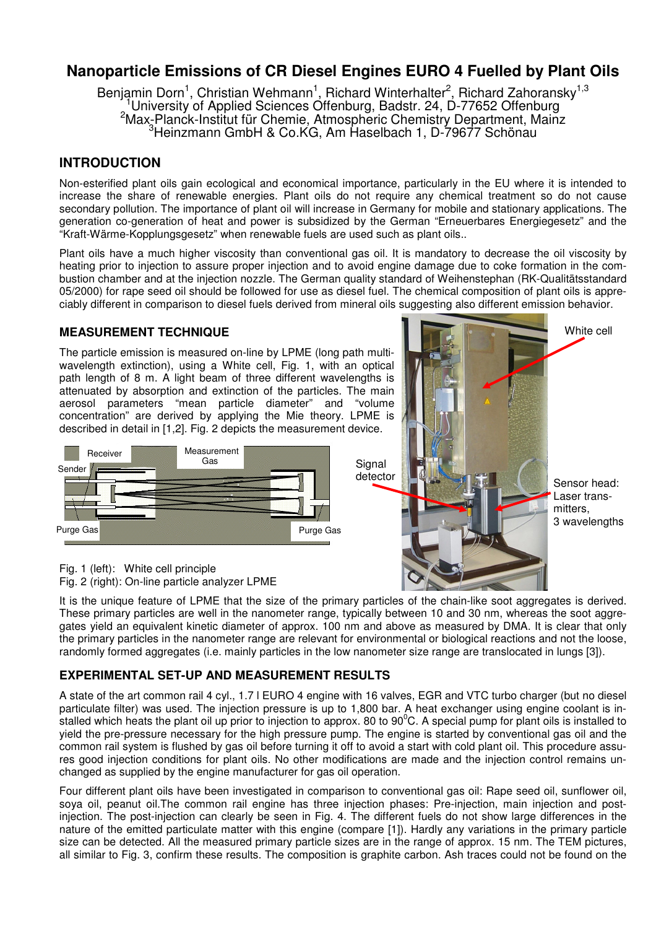# **Nanoparticle Emissions of CR Diesel Engines EURO 4 Fuelled by Plant Oils**

Benjamin Dorn<sup>1</sup>, Christian Wehmann<sup>1</sup>, Richard Winterhalter<sup>2</sup>, Richard Zahoransky<sup>1,3</sup> University of Applied Sciences Offenburg, Badstr. 24, D-77652 Offenburg <sup>2</sup>Max-Planck-Institut für Chemie, Atmospheric Chemistry Department, Mainz <sup>3</sup>Heinzmann GmbH & Co.KG, Am Haselbach 1, D-79677 Schönau

## **INTRODUCTION**

Non-esterified plant oils gain ecological and economical importance, particularly in the EU where it is intended to increase the share of renewable energies. Plant oils do not require any chemical treatment so do not cause secondary pollution. The importance of plant oil will increase in Germany for mobile and stationary applications. The generation co-generation of heat and power is subsidized by the German "Erneuerbares Energiegesetz" and the "Kraft-Wärme-Kopplungsgesetz" when renewable fuels are used such as plant oils..

Plant oils have a much higher viscosity than conventional gas oil. It is mandatory to decrease the oil viscosity by heating prior to injection to assure proper injection and to avoid engine damage due to coke formation in the combustion chamber and at the injection nozzle. The German quality standard of Weihenstephan (RK-Qualitätsstandard 05/2000) for rape seed oil should be followed for use as diesel fuel. The chemical composition of plant oils is appreciably different in comparison to diesel fuels derived from mineral oils suggesting also different emission behavior.

### **MEASUREMENT TECHNIQUE**

The particle emission is measured on-line by LPME (long path multiwavelength extinction), using a White cell, Fig. 1, with an optical path length of 8 m. A light beam of three different wavelengths is attenuated by absorption and extinction of the particles. The main aerosol parameters "mean particle diameter" and "volume concentration" are derived by applying the Mie theory. LPME is described in detail in [1,2]. Fig. 2 depicts the measurement device.





Fig. 1 (left): White cell principle Fig. 2 (right): On-line particle analyzer LPME

It is the unique feature of LPME that the size of the primary particles of the chain-like soot aggregates is derived. These primary particles are well in the nanometer range, typically between 10 and 30 nm, whereas the soot aggregates yield an equivalent kinetic diameter of approx. 100 nm and above as measured by DMA. It is clear that only the primary particles in the nanometer range are relevant for environmental or biological reactions and not the loose, randomly formed aggregates (i.e. mainly particles in the low nanometer size range are translocated in lungs [3]).

**Signal** 

## **EXPERIMENTAL SET-UP AND MEASUREMENT RESULTS**

A state of the art common rail 4 cyl., 1.7 l EURO 4 engine with 16 valves, EGR and VTC turbo charger (but no diesel particulate filter) was used. The injection pressure is up to 1,800 bar. A heat exchanger using engine coolant is installed which heats the plant oil up prior to injection to approx. 80 to 90 $\degree$ C. A special pump for plant oils is installed to yield the pre-pressure necessary for the high pressure pump. The engine is started by conventional gas oil and the common rail system is flushed by gas oil before turning it off to avoid a start with cold plant oil. This procedure assures good injection conditions for plant oils. No other modifications are made and the injection control remains unchanged as supplied by the engine manufacturer for gas oil operation.

Four different plant oils have been investigated in comparison to conventional gas oil: Rape seed oil, sunflower oil, soya oil, peanut oil. The common rail engine has three injection phases: Pre-injection, main injection and postinjection. The post-injection can clearly be seen in Fig. 4. The different fuels do not show large differences in the nature of the emitted particulate matter with this engine (compare [1]). Hardly any variations in the primary particle size can be detected. All the measured primary particle sizes are in the range of approx. 15 nm. The TEM pictures, all similar to Fig. 3, confirm these results. The composition is graphite carbon. Ash traces could not be found on the